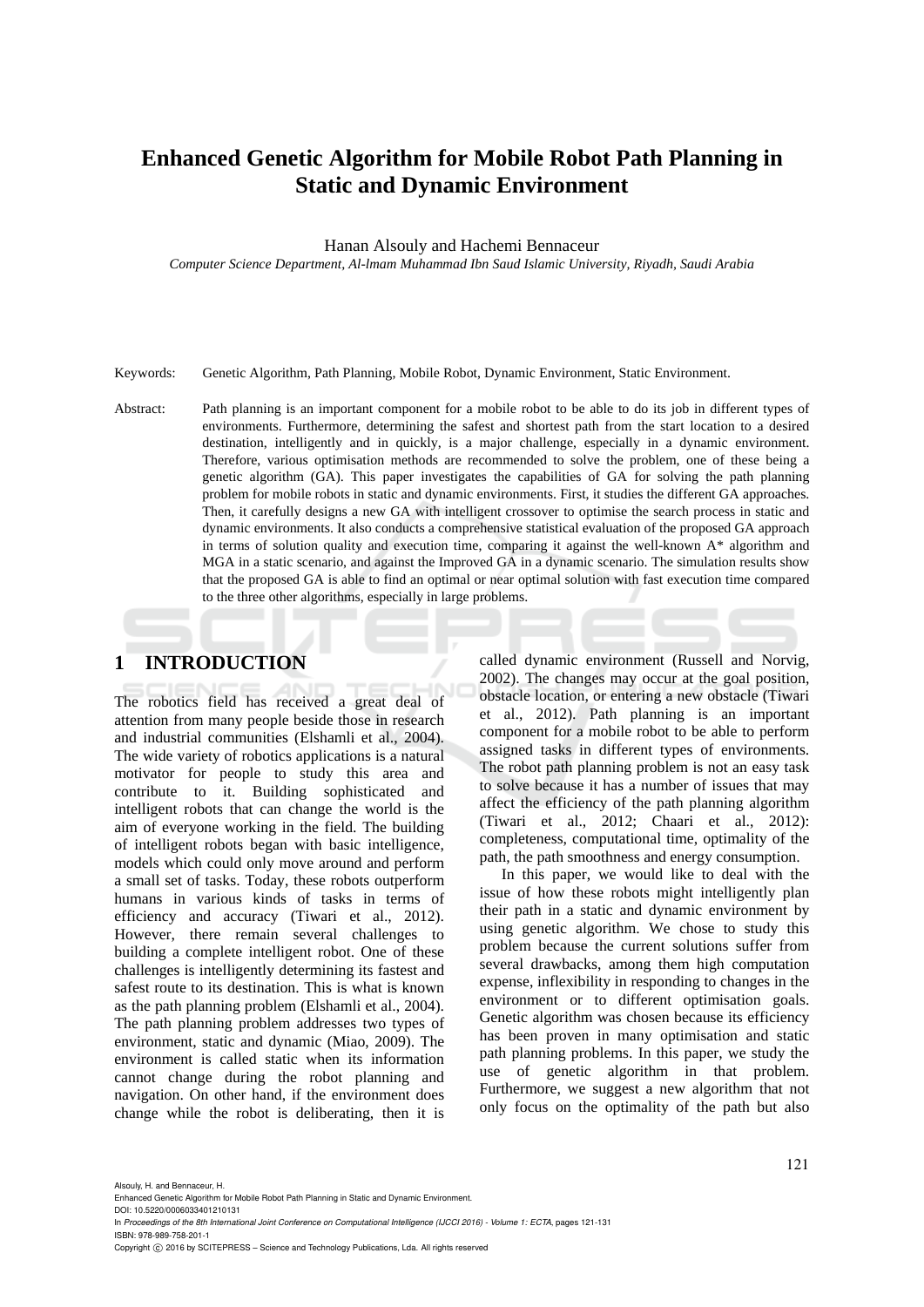# **Enhanced Genetic Algorithm for Mobile Robot Path Planning in Static and Dynamic Environment**

Hanan Alsouly and Hachemi Bennaceur

*Computer Science Department, Al-lmam Muhammad Ibn Saud Islamic University, Riyadh, Saudi Arabia* 

Keywords: Genetic Algorithm, Path Planning, Mobile Robot, Dynamic Environment, Static Environment.

Abstract: Path planning is an important component for a mobile robot to be able to do its job in different types of environments. Furthermore, determining the safest and shortest path from the start location to a desired destination, intelligently and in quickly, is a major challenge, especially in a dynamic environment. Therefore, various optimisation methods are recommended to solve the problem, one of these being a genetic algorithm (GA). This paper investigates the capabilities of GA for solving the path planning problem for mobile robots in static and dynamic environments. First, it studies the different GA approaches. Then, it carefully designs a new GA with intelligent crossover to optimise the search process in static and dynamic environments. It also conducts a comprehensive statistical evaluation of the proposed GA approach in terms of solution quality and execution time, comparing it against the well-known A\* algorithm and MGA in a static scenario, and against the Improved GA in a dynamic scenario. The simulation results show that the proposed GA is able to find an optimal or near optimal solution with fast execution time compared to the three other algorithms, especially in large problems.

# **1 INTRODUCTION**

The robotics field has received a great deal of attention from many people beside those in research and industrial communities (Elshamli et al., 2004). The wide variety of robotics applications is a natural motivator for people to study this area and contribute to it. Building sophisticated and intelligent robots that can change the world is the aim of everyone working in the field. The building of intelligent robots began with basic intelligence, models which could only move around and perform a small set of tasks. Today, these robots outperform humans in various kinds of tasks in terms of efficiency and accuracy (Tiwari et al., 2012). However, there remain several challenges to building a complete intelligent robot. One of these challenges is intelligently determining its fastest and safest route to its destination. This is what is known as the path planning problem (Elshamli et al., 2004). The path planning problem addresses two types of environment, static and dynamic (Miao, 2009). The environment is called static when its information cannot change during the robot planning and navigation. On other hand, if the environment does change while the robot is deliberating, then it is

called dynamic environment (Russell and Norvig, 2002). The changes may occur at the goal position, obstacle location, or entering a new obstacle (Tiwari et al., 2012). Path planning is an important component for a mobile robot to be able to perform assigned tasks in different types of environments. The robot path planning problem is not an easy task to solve because it has a number of issues that may affect the efficiency of the path planning algorithm (Tiwari et al., 2012; Chaari et al., 2012): completeness, computational time, optimality of the path, the path smoothness and energy consumption.

In this paper, we would like to deal with the issue of how these robots might intelligently plan their path in a static and dynamic environment by using genetic algorithm. We chose to study this problem because the current solutions suffer from several drawbacks, among them high computation expense, inflexibility in responding to changes in the environment or to different optimisation goals. Genetic algorithm was chosen because its efficiency has been proven in many optimisation and static path planning problems. In this paper, we study the use of genetic algorithm in that problem. Furthermore, we suggest a new algorithm that not only focus on the optimality of the path but also

Alsouly, H. and Bennaceur, H.

In *Proceedings of the 8th International Joint Conference on Computational Intelligence (IJCCI 2016) - Volume 1: ECTA*, pages 121-131 ISBN: 978-989-758-201-1

Copyright (C) 2016 by SCITEPRESS - Science and Technology Publications, Lda. All rights reserved

Enhanced Genetic Algorithm for Mobile Robot Path Planning in Static and Dynamic Environment. DOI: 10.5220/0006033401210131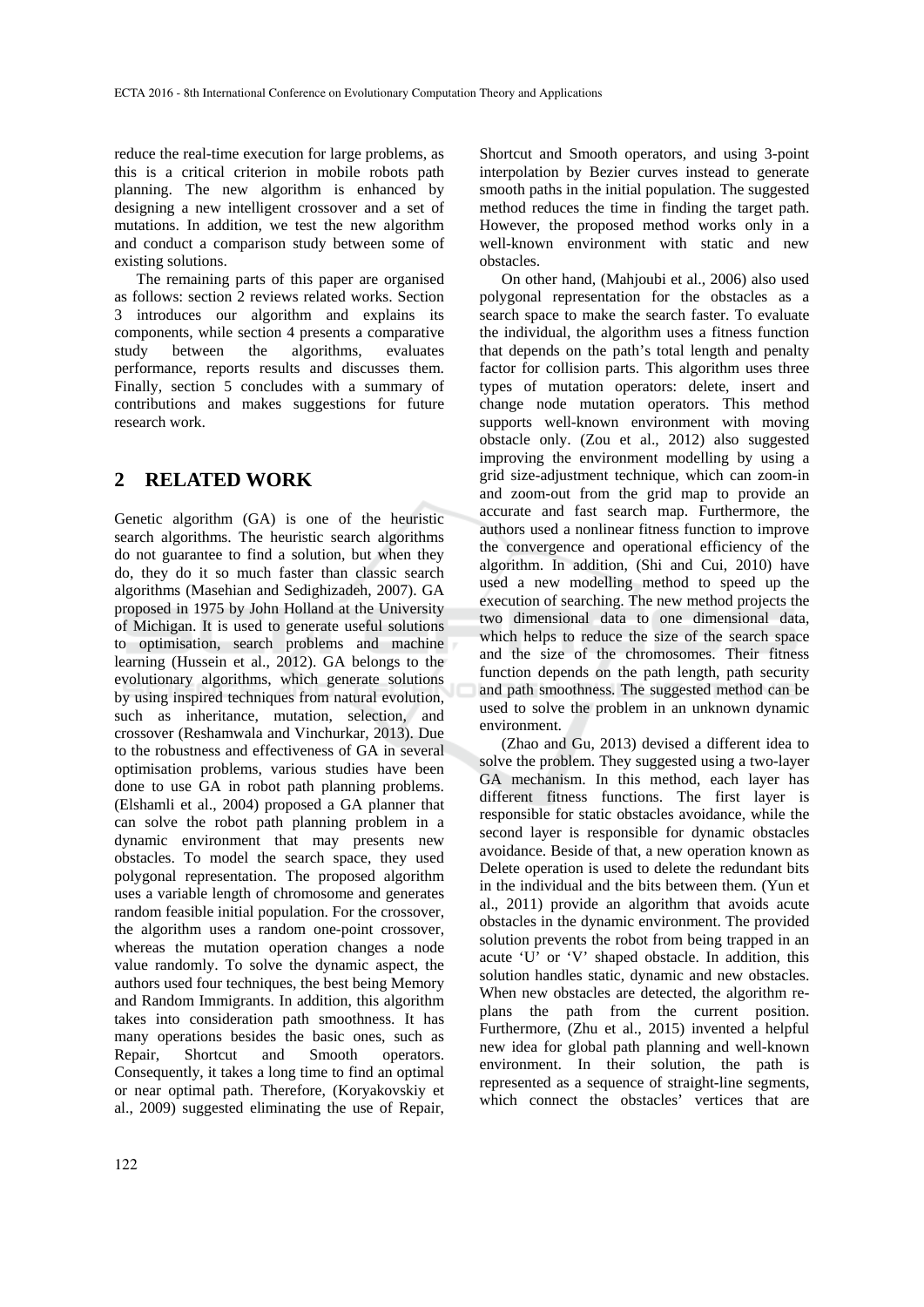reduce the real-time execution for large problems, as this is a critical criterion in mobile robots path planning. The new algorithm is enhanced by designing a new intelligent crossover and a set of mutations. In addition, we test the new algorithm and conduct a comparison study between some of existing solutions.

The remaining parts of this paper are organised as follows: section 2 reviews related works. Section 3 introduces our algorithm and explains its components, while section 4 presents a comparative study between the algorithms, evaluates performance, reports results and discusses them. Finally, section 5 concludes with a summary of contributions and makes suggestions for future research work.

# **2 RELATED WORK**

Genetic algorithm (GA) is one of the heuristic search algorithms. The heuristic search algorithms do not guarantee to find a solution, but when they do, they do it so much faster than classic search algorithms (Masehian and Sedighizadeh, 2007). GA proposed in 1975 by John Holland at the University of Michigan. It is used to generate useful solutions to optimisation, search problems and machine learning (Hussein et al., 2012). GA belongs to the evolutionary algorithms, which generate solutions by using inspired techniques from natural evolution, such as inheritance, mutation, selection, and crossover (Reshamwala and Vinchurkar, 2013). Due to the robustness and effectiveness of GA in several optimisation problems, various studies have been done to use GA in robot path planning problems. (Elshamli et al., 2004) proposed a GA planner that can solve the robot path planning problem in a dynamic environment that may presents new obstacles. To model the search space, they used polygonal representation. The proposed algorithm uses a variable length of chromosome and generates random feasible initial population. For the crossover, the algorithm uses a random one-point crossover, whereas the mutation operation changes a node value randomly. To solve the dynamic aspect, the authors used four techniques, the best being Memory and Random Immigrants. In addition, this algorithm takes into consideration path smoothness. It has many operations besides the basic ones, such as Repair, Shortcut and Smooth operators. Consequently, it takes a long time to find an optimal or near optimal path. Therefore, (Koryakovskiy et al., 2009) suggested eliminating the use of Repair,

Shortcut and Smooth operators, and using 3-point interpolation by Bezier curves instead to generate smooth paths in the initial population. The suggested method reduces the time in finding the target path. However, the proposed method works only in a well-known environment with static and new obstacles.

On other hand, (Mahjoubi et al., 2006) also used polygonal representation for the obstacles as a search space to make the search faster. To evaluate the individual, the algorithm uses a fitness function that depends on the path's total length and penalty factor for collision parts. This algorithm uses three types of mutation operators: delete, insert and change node mutation operators. This method supports well-known environment with moving obstacle only. (Zou et al., 2012) also suggested improving the environment modelling by using a grid size-adjustment technique, which can zoom-in and zoom-out from the grid map to provide an accurate and fast search map. Furthermore, the authors used a nonlinear fitness function to improve the convergence and operational efficiency of the algorithm. In addition, (Shi and Cui, 2010) have used a new modelling method to speed up the execution of searching. The new method projects the two dimensional data to one dimensional data, which helps to reduce the size of the search space and the size of the chromosomes. Their fitness function depends on the path length, path security and path smoothness. The suggested method can be used to solve the problem in an unknown dynamic environment.

(Zhao and Gu, 2013) devised a different idea to solve the problem. They suggested using a two-layer GA mechanism. In this method, each layer has different fitness functions. The first layer is responsible for static obstacles avoidance, while the second layer is responsible for dynamic obstacles avoidance. Beside of that, a new operation known as Delete operation is used to delete the redundant bits in the individual and the bits between them. (Yun et al., 2011) provide an algorithm that avoids acute obstacles in the dynamic environment. The provided solution prevents the robot from being trapped in an acute 'U' or 'V' shaped obstacle. In addition, this solution handles static, dynamic and new obstacles. When new obstacles are detected, the algorithm replans the path from the current position. Furthermore, (Zhu et al., 2015) invented a helpful new idea for global path planning and well-known environment. In their solution, the path is represented as a sequence of straight-line segments, which connect the obstacles' vertices that are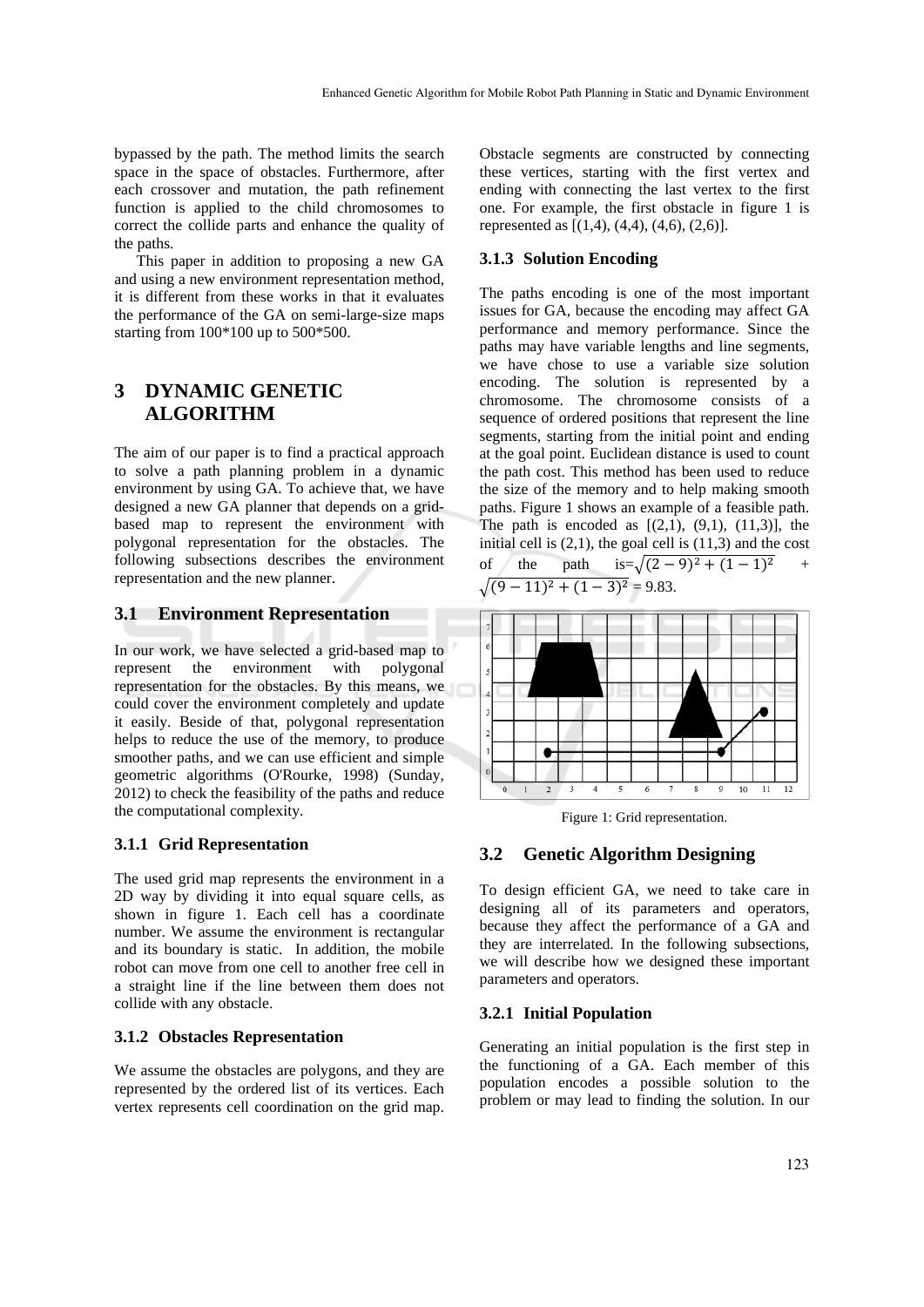bypassed by the path. The method limits the search space in the space of obstacles. Furthermore, after each crossover and mutation, the path refinement function is applied to the child chromosomes to correct the collide parts and enhance the quality of the paths.

This paper in addition to proposing a new GA and using a new environment representation method, it is different from these works in that it evaluates the performance of the GA on semi-large-size maps starting from 100\*100 up to 500\*500.

# **3 DYNAMIC GENETIC ALGORITHM**

The aim of our paper is to find a practical approach to solve a path planning problem in a dynamic environment by using GA. To achieve that, we have designed a new GA planner that depends on a gridbased map to represent the environment with polygonal representation for the obstacles. The following subsections describes the environment representation and the new planner.

## **3.1 Environment Representation**

In our work, we have selected a grid-based map to represent the environment with polygonal representation for the obstacles. By this means, we could cover the environment completely and update it easily. Beside of that, polygonal representation helps to reduce the use of the memory, to produce smoother paths, and we can use efficient and simple geometric algorithms (O'Rourke, 1998) (Sunday, 2012) to check the feasibility of the paths and reduce the computational complexity.

#### **3.1.1 Grid Representation**

The used grid map represents the environment in a 2D way by dividing it into equal square cells, as shown in figure 1. Each cell has a coordinate number. We assume the environment is rectangular and its boundary is static. In addition, the mobile robot can move from one cell to another free cell in a straight line if the line between them does not collide with any obstacle.

#### **3.1.2 Obstacles Representation**

We assume the obstacles are polygons, and they are represented by the ordered list of its vertices. Each vertex represents cell coordination on the grid map.

Obstacle segments are constructed by connecting these vertices, starting with the first vertex and ending with connecting the last vertex to the first one. For example, the first obstacle in figure 1 is represented as  $[(1,4), (4,4), (4,6), (2,6)].$ 

#### **3.1.3 Solution Encoding**

The paths encoding is one of the most important issues for GA, because the encoding may affect GA performance and memory performance. Since the paths may have variable lengths and line segments, we have chose to use a variable size solution encoding. The solution is represented by a chromosome. The chromosome consists of a sequence of ordered positions that represent the line segments, starting from the initial point and ending at the goal point. Euclidean distance is used to count the path cost. This method has been used to reduce the size of the memory and to help making smooth paths. Figure 1 shows an example of a feasible path. The path is encoded as  $[(2,1), (9,1), (11,3)]$ , the initial cell is  $(2,1)$ , the goal cell is  $(11,3)$  and the cost of the path  $is=\sqrt{(2-9)^2+(1-1)^2}$  +  $(-11)^2 + (1-3)^2 = 9.83.$ 



Figure 1: Grid representation.

#### **3.2 Genetic Algorithm Designing**

To design efficient GA, we need to take care in designing all of its parameters and operators, because they affect the performance of a GA and they are interrelated. In the following subsections, we will describe how we designed these important parameters and operators.

#### **3.2.1 Initial Population**

Generating an initial population is the first step in the functioning of a GA. Each member of this population encodes a possible solution to the problem or may lead to finding the solution. In our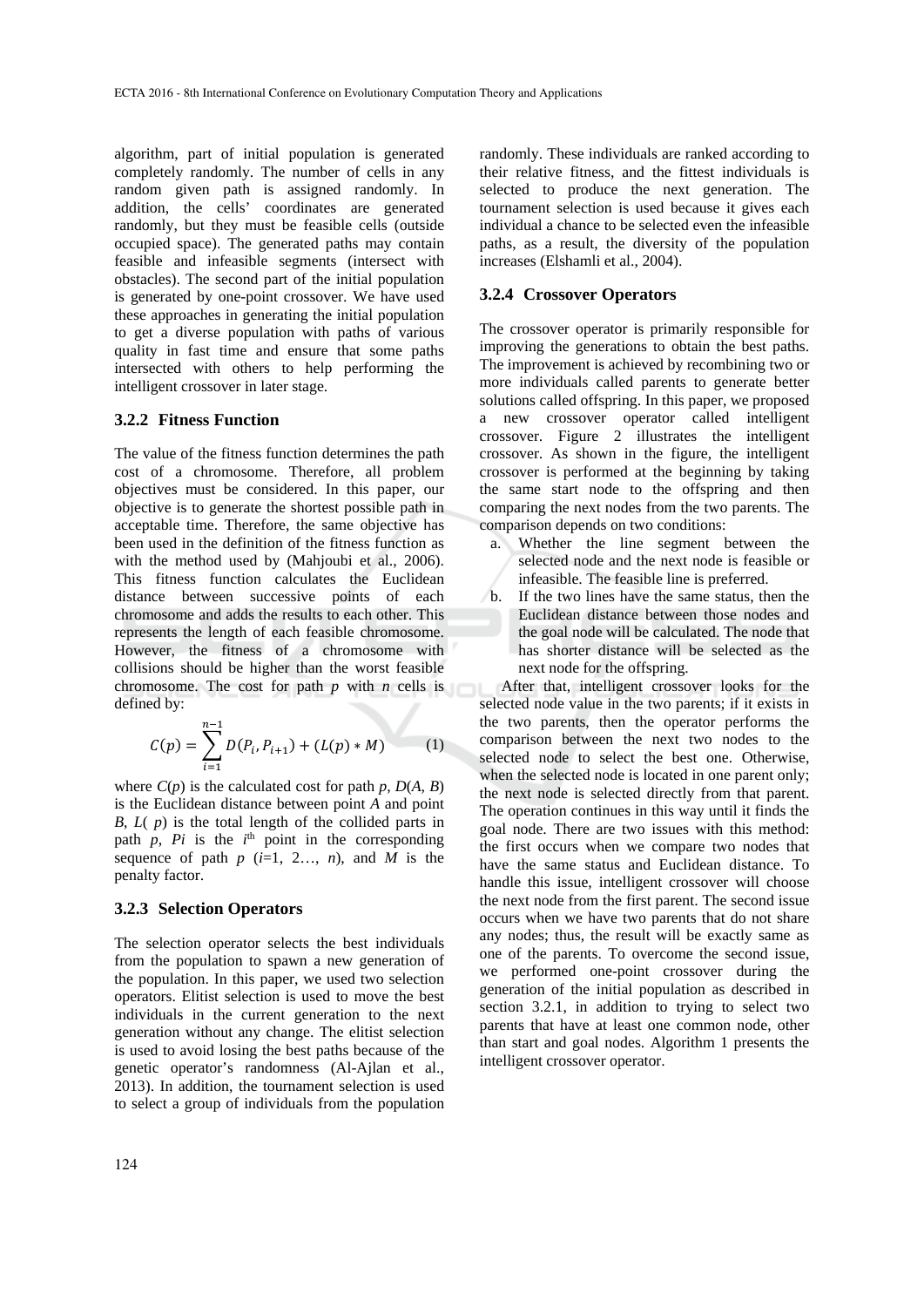algorithm, part of initial population is generated completely randomly. The number of cells in any random given path is assigned randomly. In addition, the cells' coordinates are generated randomly, but they must be feasible cells (outside occupied space). The generated paths may contain feasible and infeasible segments (intersect with obstacles). The second part of the initial population is generated by one-point crossover. We have used these approaches in generating the initial population to get a diverse population with paths of various quality in fast time and ensure that some paths intersected with others to help performing the intelligent crossover in later stage.

# **3.2.2 Fitness Function**

The value of the fitness function determines the path cost of a chromosome. Therefore, all problem objectives must be considered. In this paper, our objective is to generate the shortest possible path in acceptable time. Therefore, the same objective has been used in the definition of the fitness function as with the method used by (Mahjoubi et al., 2006). This fitness function calculates the Euclidean distance between successive points of each chromosome and adds the results to each other. This represents the length of each feasible chromosome. However, the fitness of a chromosome with collisions should be higher than the worst feasible chromosome. The cost for path *p* with *n* cells is defined by:

$$
C(p) = \sum_{i=1}^{n-1} D(P_i, P_{i+1}) + (L(p) * M)
$$
 (1)

where  $C(p)$  is the calculated cost for path  $p$ ,  $D(A, B)$ is the Euclidean distance between point *A* and point *B*, *L*( *p*) is the total length of the collided parts in path  $p$ ,  $Pi$  is the  $i<sup>th</sup>$  point in the corresponding sequence of path  $p$  ( $i=1, 2...$ ,  $n$ ), and  $\overline{M}$  is the penalty factor.

#### **3.2.3 Selection Operators**

The selection operator selects the best individuals from the population to spawn a new generation of the population. In this paper, we used two selection operators. Elitist selection is used to move the best individuals in the current generation to the next generation without any change. The elitist selection is used to avoid losing the best paths because of the genetic operator's randomness (Al-Ajlan et al., 2013). In addition, the tournament selection is used to select a group of individuals from the population

randomly. These individuals are ranked according to their relative fitness, and the fittest individuals is selected to produce the next generation. The tournament selection is used because it gives each individual a chance to be selected even the infeasible paths, as a result, the diversity of the population increases (Elshamli et al., 2004).

## **3.2.4 Crossover Operators**

The crossover operator is primarily responsible for improving the generations to obtain the best paths. The improvement is achieved by recombining two or more individuals called parents to generate better solutions called offspring. In this paper, we proposed a new crossover operator called intelligent crossover. Figure 2 illustrates the intelligent crossover. As shown in the figure, the intelligent crossover is performed at the beginning by taking the same start node to the offspring and then comparing the next nodes from the two parents. The comparison depends on two conditions:

- a. Whether the line segment between the selected node and the next node is feasible or infeasible. The feasible line is preferred.
- b. If the two lines have the same status, then the Euclidean distance between those nodes and the goal node will be calculated. The node that has shorter distance will be selected as the next node for the offspring.

After that, intelligent crossover looks for the selected node value in the two parents; if it exists in the two parents, then the operator performs the comparison between the next two nodes to the selected node to select the best one. Otherwise, when the selected node is located in one parent only: the next node is selected directly from that parent. The operation continues in this way until it finds the goal node. There are two issues with this method: the first occurs when we compare two nodes that have the same status and Euclidean distance. To handle this issue, intelligent crossover will choose the next node from the first parent. The second issue occurs when we have two parents that do not share any nodes; thus, the result will be exactly same as one of the parents. To overcome the second issue, we performed one-point crossover during the generation of the initial population as described in section 3.2.1, in addition to trying to select two parents that have at least one common node, other than start and goal nodes. Algorithm 1 presents the intelligent crossover operator.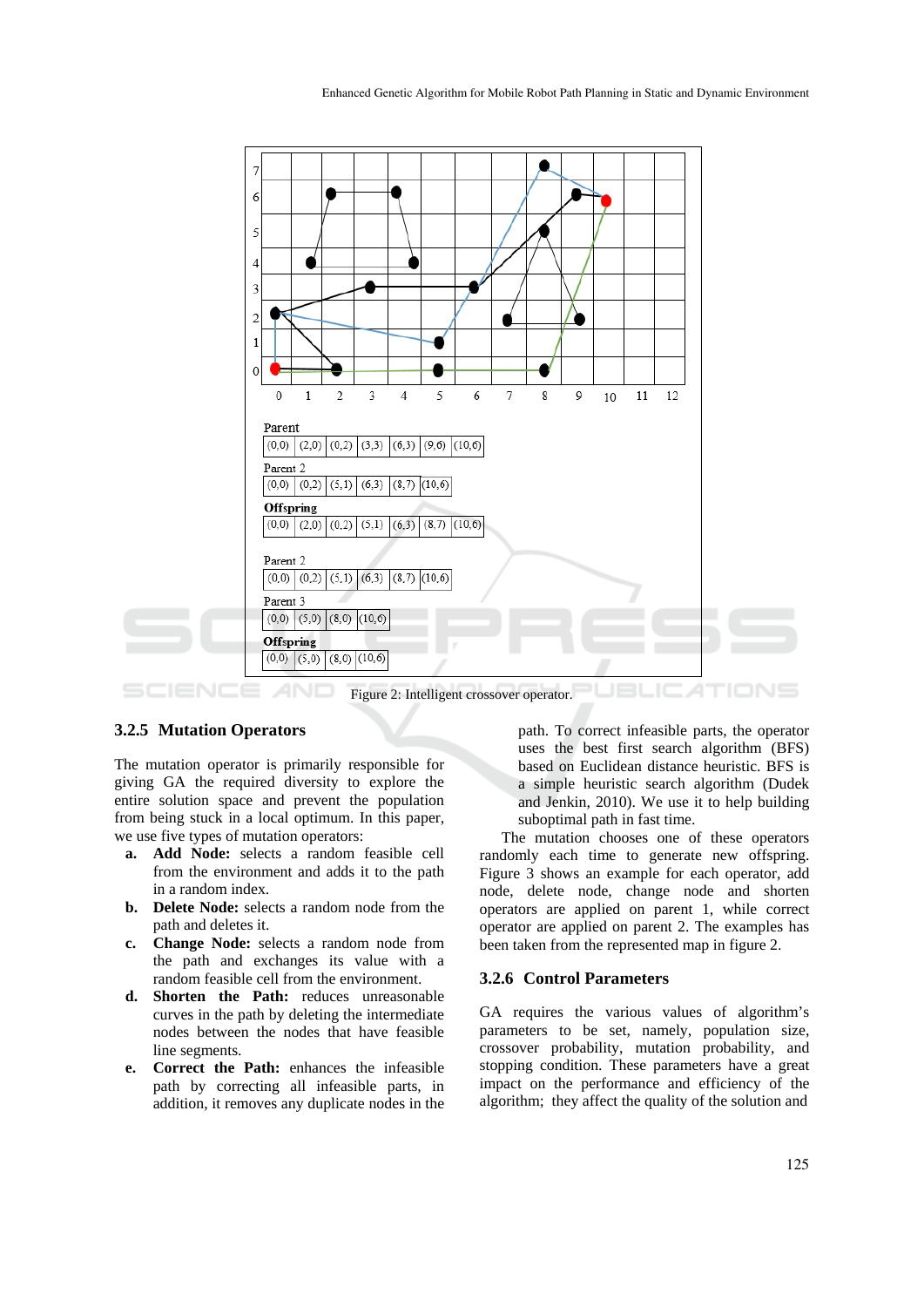

## **3.2.5 Mutation Operators**

The mutation operator is primarily responsible for giving GA the required diversity to explore the entire solution space and prevent the population from being stuck in a local optimum. In this paper, we use five types of mutation operators:

- **a. Add Node:** selects a random feasible cell from the environment and adds it to the path in a random index.
- **b. Delete Node:** selects a random node from the path and deletes it.
- **c. Change Node:** selects a random node from the path and exchanges its value with a random feasible cell from the environment.
- **d. Shorten the Path:** reduces unreasonable curves in the path by deleting the intermediate nodes between the nodes that have feasible line segments.
- **e. Correct the Path:** enhances the infeasible path by correcting all infeasible parts, in addition, it removes any duplicate nodes in the

path. To correct infeasible parts, the operator uses the best first search algorithm (BFS) based on Euclidean distance heuristic. BFS is a simple heuristic search algorithm (Dudek and Jenkin, 2010). We use it to help building suboptimal path in fast time.

The mutation chooses one of these operators randomly each time to generate new offspring. Figure 3 shows an example for each operator, add node, delete node, change node and shorten operators are applied on parent 1, while correct operator are applied on parent 2. The examples has been taken from the represented map in figure 2.

# **3.2.6 Control Parameters**

GA requires the various values of algorithm's parameters to be set, namely, population size, crossover probability, mutation probability, and stopping condition. These parameters have a great impact on the performance and efficiency of the algorithm; they affect the quality of the solution and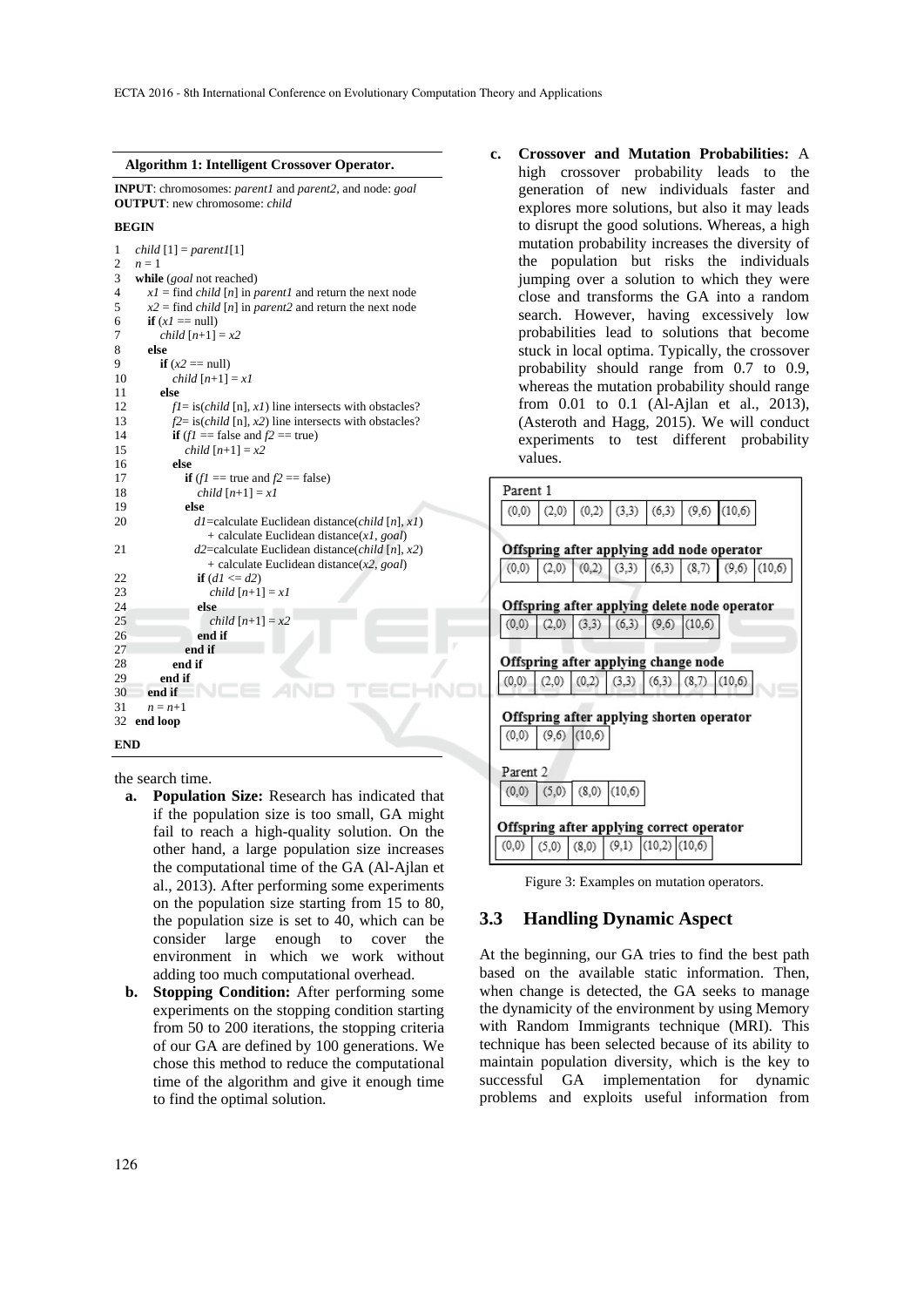#### **Algorithm 1: Intelligent Crossover Operator.**

**INPUT**: chromosomes: *parent1* and *parent2*, and node: *goal* **OUTPUT**: new chromosome: *child*

#### **BEGIN**

```
1 
\mathcal{L}3 
4 
5 
6 
7 
8 
\mathbf Q10 
11 
1213 
14 
15 
16 
17 
18 
19 
2021 
22 
23 
24 
2526 
27 
28
2930 
31 
32 
    child [1] = parent1[1] 
    n=1while (goal not reached) 
       xI = \text{find } child[n] in parent1 and return the next node
       x^2 = \text{find } child[n] in parent2 and return the next node
       if (xI == null) child [n+1] = x2
        else 
          if (x2 == null) child [n+1] = x1
           else 
             f = i s \left( \text{child } [n], x \right) line intersects with obstacles?
              f2= is(child [n], x2) line intersects with obstacles? 
             if (f1) = false and f2 = true)
                 child [n+1] = x2
              else 
                if (f1 == true and f2 == false) child [n+1] = x1
                 else 
                   d1=calculate Euclidean distance(child [n], x1) 
                      + calculate Euclidean distance(x1, goal) 
                   d2=calculate Euclidean distance(child [n], x2) 
                      + calculate Euclidean distance(x2, goal) 
                   if (dI \le d2) child [n+1] = x1
                    else 
                     child [n+1] = x^2 end if 
                 end if 
              end if 
           end if 
        end if 
       n = n+1end loop
```
**END** 

the search time.

- **a. Population Size:** Research has indicated that if the population size is too small, GA might fail to reach a high-quality solution. On the other hand, a large population size increases the computational time of the GA (Al-Ajlan et al., 2013). After performing some experiments on the population size starting from 15 to 80, the population size is set to 40, which can be consider large enough to cover the environment in which we work without adding too much computational overhead.
- **b. Stopping Condition:** After performing some experiments on the stopping condition starting from 50 to 200 iterations, the stopping criteria of our GA are defined by 100 generations. We chose this method to reduce the computational time of the algorithm and give it enough time to find the optimal solution.

**c. Crossover and Mutation Probabilities:** A high crossover probability leads to the generation of new individuals faster and explores more solutions, but also it may leads to disrupt the good solutions. Whereas, a high mutation probability increases the diversity of the population but risks the individuals jumping over a solution to which they were close and transforms the GA into a random search. However, having excessively low probabilities lead to solutions that become stuck in local optima. Typically, the crossover probability should range from 0.7 to 0.9, whereas the mutation probability should range from 0.01 to 0.1 (Al-Ajlan et al., 2013), (Asteroth and Hagg, 2015). We will conduct experiments to test different probability values.



Figure 3: Examples on mutation operators.

## **3.3 Handling Dynamic Aspect**

At the beginning, our GA tries to find the best path based on the available static information. Then, when change is detected, the GA seeks to manage the dynamicity of the environment by using Memory with Random Immigrants technique (MRI). This technique has been selected because of its ability to maintain population diversity, which is the key to successful GA implementation for dynamic problems and exploits useful information from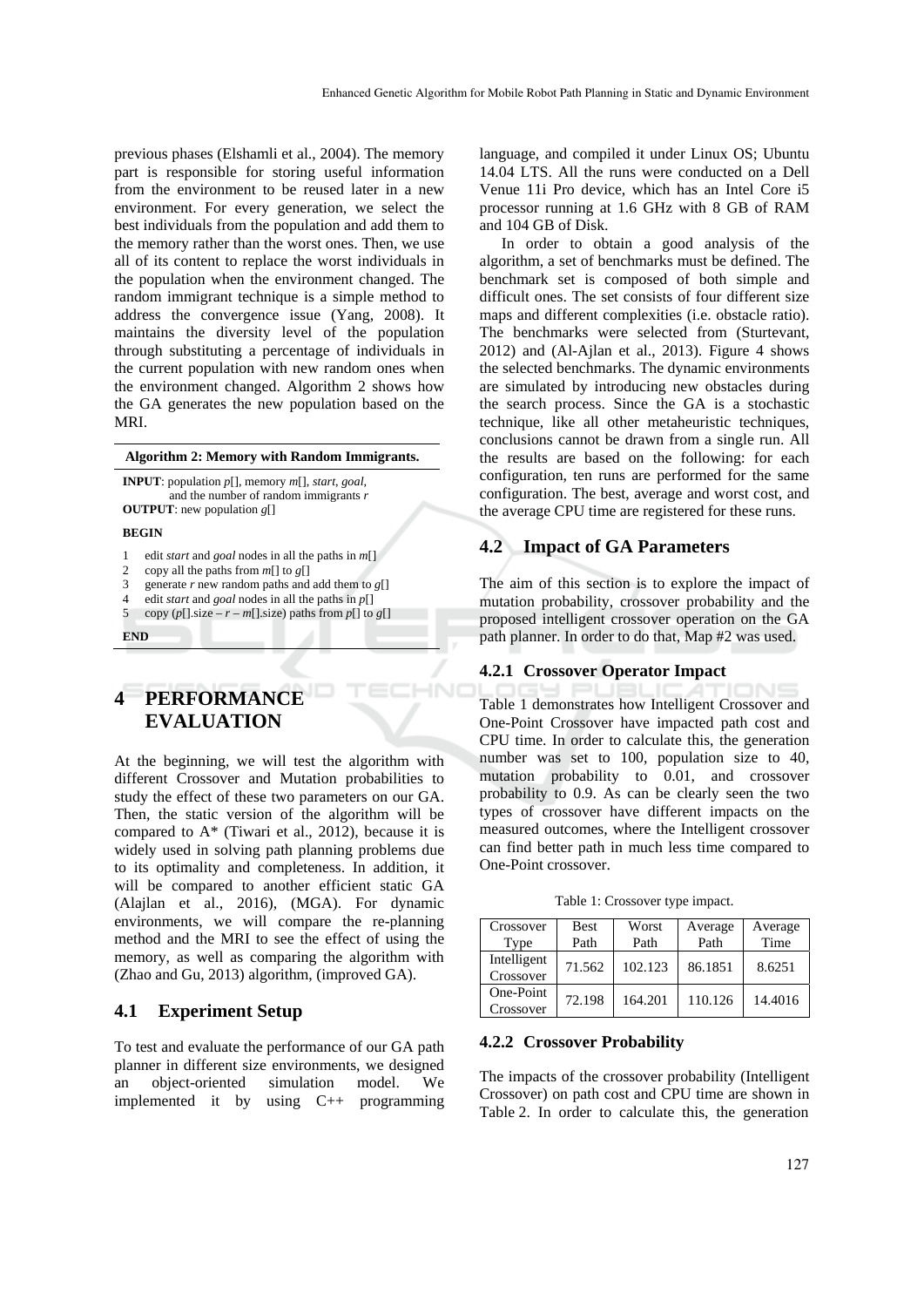previous phases (Elshamli et al., 2004). The memory part is responsible for storing useful information from the environment to be reused later in a new environment. For every generation, we select the best individuals from the population and add them to the memory rather than the worst ones. Then, we use all of its content to replace the worst individuals in the population when the environment changed. The random immigrant technique is a simple method to address the convergence issue (Yang, 2008). It maintains the diversity level of the population through substituting a percentage of individuals in the current population with new random ones when the environment changed. Algorithm 2 shows how the GA generates the new population based on the MRI.

#### **Algorithm 2: Memory with Random Immigrants.**

**INPUT**: population *p*[], memory *m*[], *start*, *goal*, and the number of random immigrants *r* **OUTPUT**: new population *g*[]

#### **BEGIN**

- 1 edit *start* and *goal* nodes in all the paths in *m*[]
- 2 copy all the paths from *m*[] to *g*[]
- 3 generate  $r$  new random paths and add them to  $g$ []
- 4 5 copy  $(p[] size - r - m[] size)$  paths from  $p[]$  to  $g[]$ edit *start* and *goal* nodes in all the paths in *p*[]
- 

## **END**

# **4 PERFORMANCE EVALUATION**

At the beginning, we will test the algorithm with different Crossover and Mutation probabilities to study the effect of these two parameters on our GA. Then, the static version of the algorithm will be compared to  $A^*$  (Tiwari et al., 2012), because it is widely used in solving path planning problems due to its optimality and completeness. In addition, it will be compared to another efficient static GA (Alajlan et al., 2016), (MGA). For dynamic environments, we will compare the re-planning method and the MRI to see the effect of using the memory, as well as comparing the algorithm with (Zhao and Gu, 2013) algorithm, (improved GA).

# **4.1 Experiment Setup**

To test and evaluate the performance of our GA path planner in different size environments, we designed an object-oriented simulation model. We implemented it by using C++ programming

language, and compiled it under Linux OS; Ubuntu 14.04 LTS. All the runs were conducted on a Dell Venue 11i Pro device, which has an Intel Core i5 processor running at 1.6 GHz with 8 GB of RAM and 104 GB of Disk.

In order to obtain a good analysis of the algorithm, a set of benchmarks must be defined. The benchmark set is composed of both simple and difficult ones. The set consists of four different size maps and different complexities (i.e. obstacle ratio). The benchmarks were selected from (Sturtevant, 2012) and (Al-Ajlan et al., 2013). Figure 4 shows the selected benchmarks. The dynamic environments are simulated by introducing new obstacles during the search process. Since the GA is a stochastic technique, like all other metaheuristic techniques, conclusions cannot be drawn from a single run. All the results are based on the following: for each configuration, ten runs are performed for the same configuration. The best, average and worst cost, and the average CPU time are registered for these runs.

## **4.2 Impact of GA Parameters**

The aim of this section is to explore the impact of mutation probability, crossover probability and the proposed intelligent crossover operation on the GA path planner. In order to do that, Map #2 was used.

#### **4.2.1 Crossover Operator Impact**

HND

INE Table 1 demonstrates how Intelligent Crossover and One-Point Crossover have impacted path cost and CPU time. In order to calculate this, the generation number was set to 100, population size to 40, mutation probability to 0.01, and crossover probability to 0.9. As can be clearly seen the two types of crossover have different impacts on the measured outcomes, where the Intelligent crossover can find better path in much less time compared to One-Point crossover.

Table 1: Crossover type impact.

| Crossover<br>Type        | Best<br>Path | Worst<br>Path | Average<br>Path | Average<br>Time |
|--------------------------|--------------|---------------|-----------------|-----------------|
| Intelligent<br>Crossover | 71.562       | 102.123       | 86.1851         | 8.6251          |
| One-Point<br>Crossover   | 72.198       | 164.201       | 110.126         | 14.4016         |

#### **4.2.2 Crossover Probability**

The impacts of the crossover probability (Intelligent Crossover) on path cost and CPU time are shown in Table 2. In order to calculate this, the generation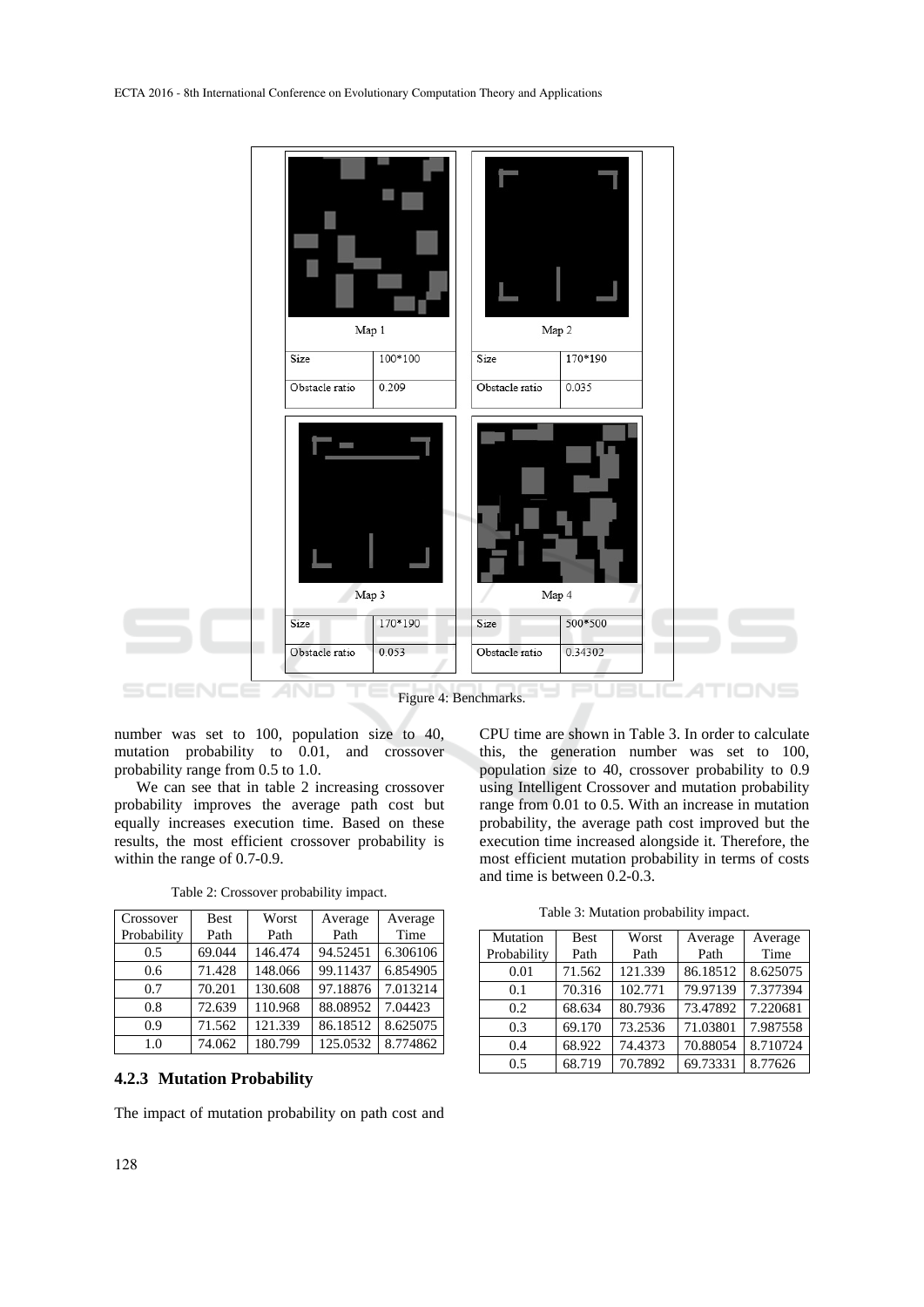

number was set to 100, population size to 40, mutation probability to 0.01, and crossover probability range from 0.5 to 1.0.

We can see that in table 2 increasing crossover probability improves the average path cost but equally increases execution time. Based on these results, the most efficient crossover probability is within the range of 0.7-0.9.

| Crossover<br>Probability | <b>Best</b><br>Path | Worst<br>Path | Average<br>Path | Average<br>Time |
|--------------------------|---------------------|---------------|-----------------|-----------------|
| 0.5                      | 69.044              | 146.474       | 94.52451        | 6.306106        |
| 0.6                      | 71.428              | 148.066       | 99.11437        | 6.854905        |
| 0.7                      | 70.201              | 130.608       | 97.18876        | 7.013214        |
| 0.8                      | 72.639              | 110.968       | 88.08952        | 7.04423         |
| 0.9                      | 71.562              | 121.339       | 86.18512        | 8.625075        |
| 1.0                      | 74.062              | 180.799       | 125.0532        | 8.774862        |

Table 2: Crossover probability impact.

## **4.2.3 Mutation Probability**

The impact of mutation probability on path cost and

CPU time are shown in Table 3. In order to calculate this, the generation number was set to 100, population size to 40, crossover probability to 0.9 using Intelligent Crossover and mutation probability range from 0.01 to 0.5. With an increase in mutation probability, the average path cost improved but the execution time increased alongside it. Therefore, the most efficient mutation probability in terms of costs and time is between 0.2-0.3.

Table 3: Mutation probability impact.

| Mutation    | <b>Best</b> | Worst   | Average  | Average  |  |
|-------------|-------------|---------|----------|----------|--|
| Probability | Path        | Path    | Path     | Time     |  |
| 0.01        | 71.562      | 121.339 | 86.18512 | 8.625075 |  |
| 0.1         | 70.316      | 102.771 | 79.97139 | 7.377394 |  |
| 0.2         | 68.634      | 80.7936 | 73.47892 | 7.220681 |  |
| 0.3         | 69.170      | 73.2536 | 71.03801 | 7.987558 |  |
| 0.4         | 68.922      | 74.4373 | 70.88054 | 8.710724 |  |
| 0.5         | 68.719      | 70.7892 | 69.73331 | 8.77626  |  |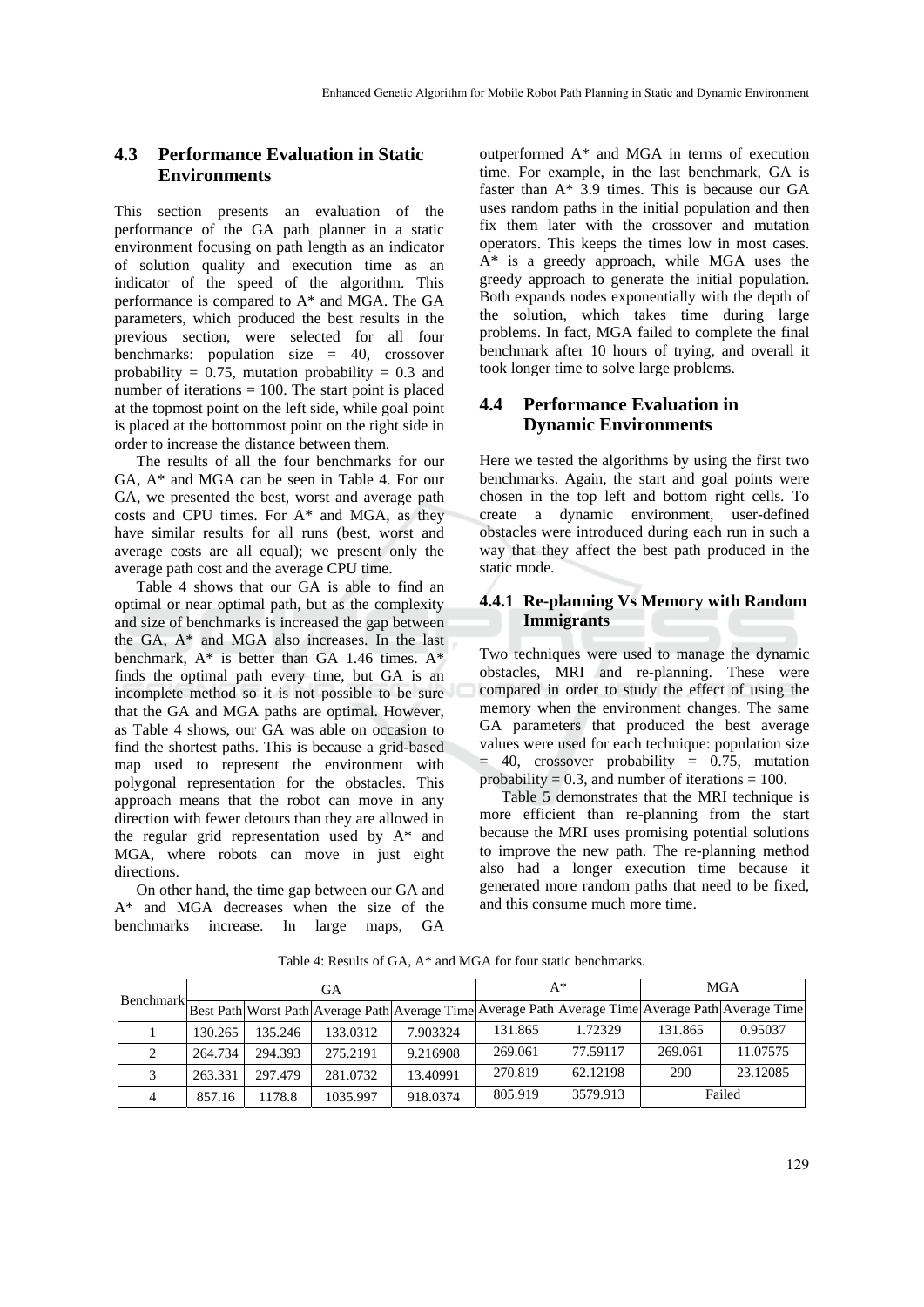# **4.3 Performance Evaluation in Static Environments**

This section presents an evaluation of the performance of the GA path planner in a static environment focusing on path length as an indicator of solution quality and execution time as an indicator of the speed of the algorithm. This performance is compared to A\* and MGA. The GA parameters, which produced the best results in the previous section, were selected for all four benchmarks: population size = 40, crossover probability =  $0.75$ , mutation probability = 0.3 and number of iterations  $= 100$ . The start point is placed at the topmost point on the left side, while goal point is placed at the bottommost point on the right side in order to increase the distance between them.

The results of all the four benchmarks for our GA, A\* and MGA can be seen in Table 4. For our GA, we presented the best, worst and average path costs and CPU times. For A\* and MGA, as they have similar results for all runs (best, worst and average costs are all equal); we present only the average path cost and the average CPU time.

Table 4 shows that our GA is able to find an optimal or near optimal path, but as the complexity and size of benchmarks is increased the gap between the GA, A\* and MGA also increases. In the last benchmark,  $A^*$  is better than GA 1.46 times.  $A^*$ finds the optimal path every time, but GA is an incomplete method so it is not possible to be sure that the GA and MGA paths are optimal. However, as Table 4 shows, our GA was able on occasion to find the shortest paths. This is because a grid-based map used to represent the environment with polygonal representation for the obstacles. This approach means that the robot can move in any direction with fewer detours than they are allowed in the regular grid representation used by A\* and MGA, where robots can move in just eight directions.

On other hand, the time gap between our GA and A\* and MGA decreases when the size of the benchmarks increase. In large maps, GA

outperformed A\* and MGA in terms of execution time. For example, in the last benchmark, GA is faster than A\* 3.9 times. This is because our GA uses random paths in the initial population and then fix them later with the crossover and mutation operators. This keeps the times low in most cases. A\* is a greedy approach, while MGA uses the greedy approach to generate the initial population. Both expands nodes exponentially with the depth of the solution, which takes time during large problems. In fact, MGA failed to complete the final benchmark after 10 hours of trying, and overall it took longer time to solve large problems.

# **4.4 Performance Evaluation in Dynamic Environments**

Here we tested the algorithms by using the first two benchmarks. Again, the start and goal points were chosen in the top left and bottom right cells. To create a dynamic environment, user-defined obstacles were introduced during each run in such a way that they affect the best path produced in the static mode.

# **4.4.1 Re-planning Vs Memory with Random Immigrants**

Two techniques were used to manage the dynamic obstacles, MRI and re-planning. These were compared in order to study the effect of using the memory when the environment changes. The same GA parameters that produced the best average values were used for each technique: population size  $= 40$ , crossover probability  $= 0.75$ , mutation probability =  $0.3$ , and number of iterations =  $100$ .

Table 5 demonstrates that the MRI technique is more efficient than re-planning from the start because the MRI uses promising potential solutions to improve the new path. The re-planning method also had a longer execution time because it generated more random paths that need to be fixed, and this consume much more time.

| <b>Benchmark</b> | GA      |         |          |          |         | $A^*$    | MGA     |                                                                                                    |
|------------------|---------|---------|----------|----------|---------|----------|---------|----------------------------------------------------------------------------------------------------|
|                  |         |         |          |          |         |          |         | Best Path Worst Path Average Path Average Time Average Path Average Time Average Path Average Time |
|                  | 130.265 | 135.246 | 133.0312 | 7.903324 | 131.865 | 1.72329  | 131.865 | 0.95037                                                                                            |
|                  | 264.734 | 294.393 | 275.2191 | 9.216908 | 269.061 | 77.59117 | 269.061 | 11.07575                                                                                           |
|                  | 263.331 | 297.479 | 281.0732 | 13.40991 | 270.819 | 62.12198 | 290     | 23.12085                                                                                           |
| 4                | 857.16  | 1178.8  | 1035.997 | 918.0374 | 805.919 | 3579.913 | Failed  |                                                                                                    |

Table 4: Results of GA, A\* and MGA for four static benchmarks.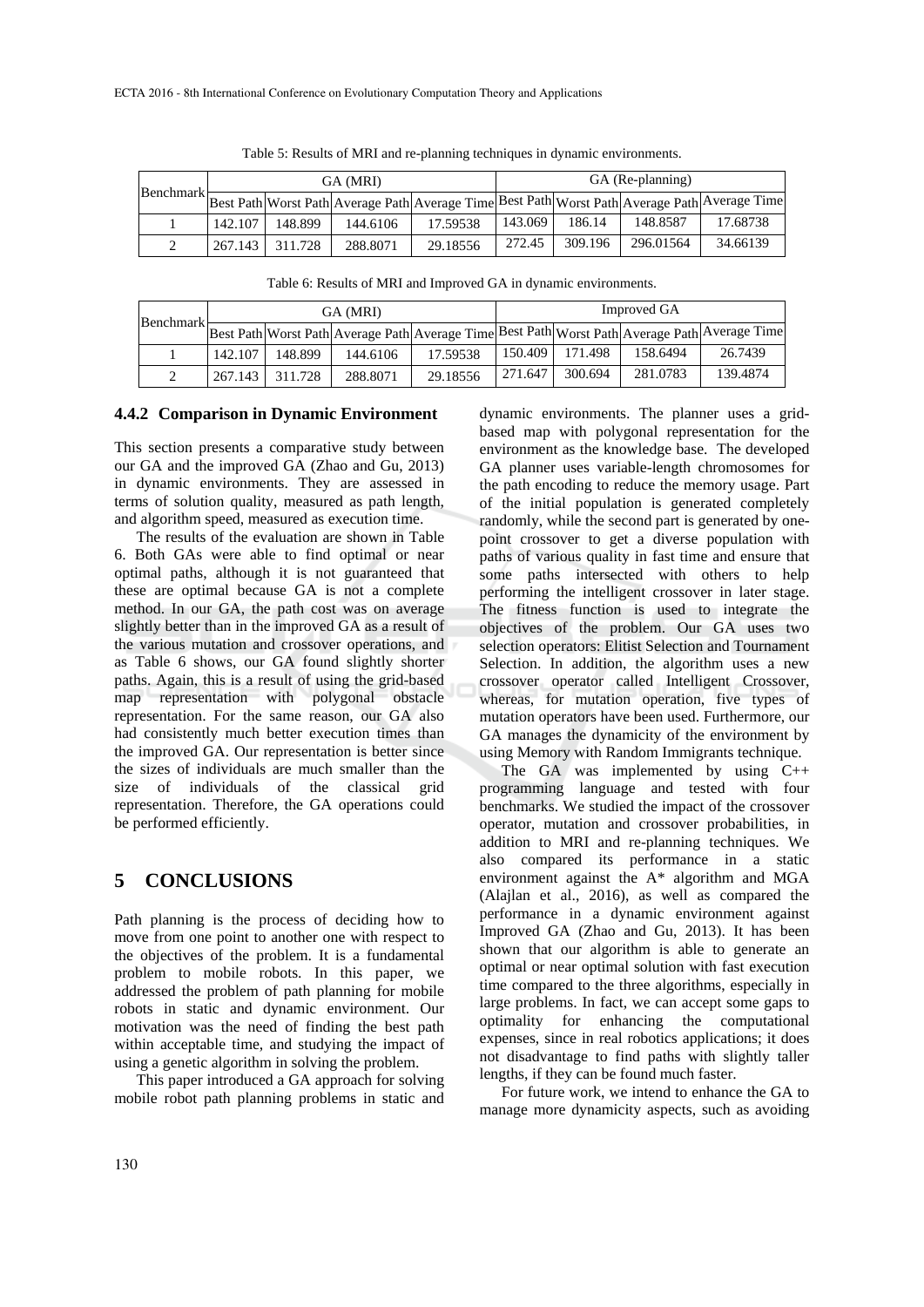| Benchmark | GA (MRI) |         |          |                                                                                               | GA (Re-planning) |         |           |          |
|-----------|----------|---------|----------|-----------------------------------------------------------------------------------------------|------------------|---------|-----------|----------|
|           |          |         |          | Best Path Worst Path Average Path Average Time Best Path Worst Path Average Path Average Time |                  |         |           |          |
|           | 142.107  | 148.899 | 144.6106 | 17.59538                                                                                      | 143.069          | 186.14  | 148.8587  | 17.68738 |
|           | 267.143  | 311.728 | 288.8071 | 29.18556                                                                                      | 272.45           | 309.196 | 296.01564 | 34.66139 |

Table 5: Results of MRI and re-planning techniques in dynamic environments.

Table 6: Results of MRI and Improved GA in dynamic environments.

| Benchmark- | GA (MRI) |         |          |                                                                                               | Improved GA |         |          |          |
|------------|----------|---------|----------|-----------------------------------------------------------------------------------------------|-------------|---------|----------|----------|
|            |          |         |          | Best Path Worst Path Average Path Average Time Best Path Worst Path Average Path Average Time |             |         |          |          |
|            | 142.107  | 148.899 | 144.6106 | 17.59538                                                                                      | 150.409     | 171.498 | 158.6494 | 26.7439  |
|            | 267.143  | 311.728 | 288.8071 | 29.18556                                                                                      | 271.647     | 300.694 | 281.0783 | 139.4874 |

#### **4.4.2 Comparison in Dynamic Environment**

This section presents a comparative study between our GA and the improved GA (Zhao and Gu, 2013) in dynamic environments. They are assessed in terms of solution quality, measured as path length, and algorithm speed, measured as execution time.

The results of the evaluation are shown in Table 6. Both GAs were able to find optimal or near optimal paths, although it is not guaranteed that these are optimal because GA is not a complete method. In our GA, the path cost was on average slightly better than in the improved GA as a result of the various mutation and crossover operations, and as Table 6 shows, our GA found slightly shorter paths. Again, this is a result of using the grid-based map representation with polygonal obstacle representation. For the same reason, our GA also had consistently much better execution times than the improved GA. Our representation is better since the sizes of individuals are much smaller than the size of individuals of the classical grid representation. Therefore, the GA operations could be performed efficiently.

# **5 CONCLUSIONS**

Path planning is the process of deciding how to move from one point to another one with respect to the objectives of the problem. It is a fundamental problem to mobile robots. In this paper, we addressed the problem of path planning for mobile robots in static and dynamic environment. Our motivation was the need of finding the best path within acceptable time, and studying the impact of using a genetic algorithm in solving the problem.

This paper introduced a GA approach for solving mobile robot path planning problems in static and dynamic environments. The planner uses a gridbased map with polygonal representation for the environment as the knowledge base. The developed GA planner uses variable-length chromosomes for the path encoding to reduce the memory usage. Part of the initial population is generated completely randomly, while the second part is generated by onepoint crossover to get a diverse population with paths of various quality in fast time and ensure that some paths intersected with others to help performing the intelligent crossover in later stage. The fitness function is used to integrate the objectives of the problem. Our GA uses two selection operators: Elitist Selection and Tournament Selection. In addition, the algorithm uses a new crossover operator called Intelligent Crossover, whereas, for mutation operation, five types of mutation operators have been used. Furthermore, our GA manages the dynamicity of the environment by using Memory with Random Immigrants technique.

The GA was implemented by using C++ programming language and tested with four benchmarks. We studied the impact of the crossover operator, mutation and crossover probabilities, in addition to MRI and re-planning techniques. We also compared its performance in a static environment against the A\* algorithm and MGA (Alajlan et al., 2016), as well as compared the performance in a dynamic environment against Improved GA (Zhao and Gu, 2013). It has been shown that our algorithm is able to generate an optimal or near optimal solution with fast execution time compared to the three algorithms, especially in large problems. In fact, we can accept some gaps to optimality for enhancing the computational expenses, since in real robotics applications; it does not disadvantage to find paths with slightly taller lengths, if they can be found much faster.

For future work, we intend to enhance the GA to manage more dynamicity aspects, such as avoiding